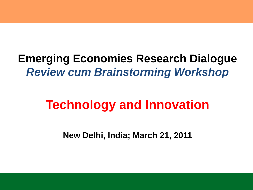#### **Emerging Economies Research Dialogue** *Review cum Brainstorming Workshop*

#### **Technology and Innovation**

**New Delhi, India; March 21, 2011**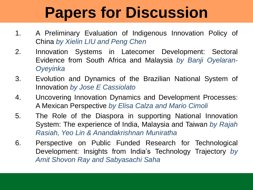### **Papers for Discussion**

- 1. A Preliminary Evaluation of Indigenous Innovation Policy of China *by Xielin LIU and Peng Chen*
- 2. Innovation Systems in Latecomer Development: Sectoral Evidence from South Africa and Malaysia *by Banji Oyelaran-Oyeyinka*
- 3. Evolution and Dynamics of the Brazilian National System of Innovation *by Jose E Cassiolato*
- 4. Uncovering Innovation Dynamics and Development Processes: A Mexican Perspective *by Elisa Calza and Mario Cimoli*
- 5. The Role of the Diaspora in supporting National Innovation System: The experience of India, Malaysia and Taiwan *by Rajah Rasiah, Yeo Lin & Anandakrishnan Muniratha*
- 6. Perspective on Public Funded Research for Technological Development: Insights from India's Technology Trajectory *by Amit Shovon Ray and Sabyasachi Saha*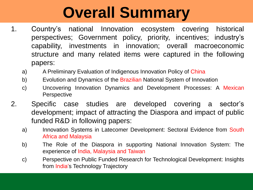### **Overall Summary**

- 1. Country's national Innovation ecosystem covering historical perspectives; Government policy, priority, incentives; industry's capability, investments in innovation; overall macroeconomic structure and many related items were captured in the following papers:
	- a) A Preliminary Evaluation of Indigenous Innovation Policy of China
	- b) Evolution and Dynamics of the Brazilian National System of Innovation
	- c) Uncovering Innovation Dynamics and Development Processes: A Mexican Perspective
- 2. Specific case studies are developed covering a sector's development; impact of attracting the Diaspora and impact of public funded R&D in following papers:
	- a) Innovation Systems in Latecomer Development: Sectoral Evidence from South Africa and Malaysia
	- b) The Role of the Diaspora in supporting National Innovation System: The experience of India, Malaysia and Taiwan
	- c) Perspective on Public Funded Research for Technological Development: Insights from India's Technology Trajectory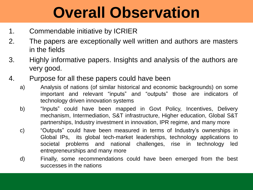### **Overall Observation**

- 1. Commendable initiative by ICRIER
- 2. The papers are exceptionally well written and authors are masters in the fields
- 3. Highly informative papers. Insights and analysis of the authors are very good.
- 4. Purpose for all these papers could have been
	- a) Analysis of nations (of similar historical and economic backgrounds) on some important and relevant "inputs" and "outputs" those are indicators of technology driven innovation systems
	- b) "Inputs" could have been mapped in Govt Policy, Incentives, Delivery mechanism, Intermediation, S&T infrastructure, Higher education, Global S&T partnerships, Industry investment in innovation, IPR regime, and many more
	- c) "Outputs" could have been measured in terms of Industry's ownerships in Global IPs, its global tech-market leaderships, technology applications to societal problems and national challenges, rise in technology led entrepreneurships and many more
	- d) Finally, some recommendations could have been emerged from the best successes in the nations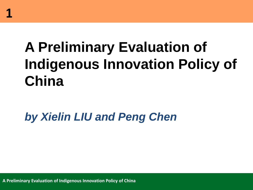#### **A Preliminary Evaluation of Indigenous Innovation Policy of China**

*by Xielin LIU and Peng Chen*

**A Preliminary Evaluation of Indigenous Innovation Policy of China**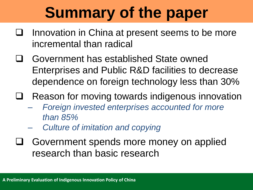### **Summary of the paper**

- Innovation in China at present seems to be more incremental than radical
- Government has established State owned Enterprises and Public R&D facilities to decrease dependence on foreign technology less than 30%
- Reason for moving towards indigenous innovation
	- *Foreign invested enterprises accounted for more than 85%*
	- *Culture of imitation and copying*
- Government spends more money on applied research than basic research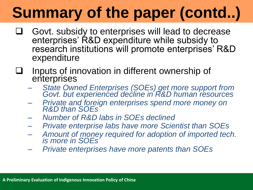- Govt. subsidy to enterprises will lead to decrease enterprises' R&D expenditure while subsidy to research institutions will promote enterprises' R&D expenditure
- Inputs of innovation in different ownership of enterprises
	- *State Owned Enterprises (SOEs) get more support from*  Govt. but experienced decline in R&D human resources
	- *Private and foreign enterprises spend more money on R&D than SOEs*
	- *Number of R&D labs in SOEs declined*
	- *Private enterprise labs have more Scientist than SOEs*
	- *Amount of money required for adoption of imported tech. is more in SOEs*
	- *Private enterprises have more patents than SOEs*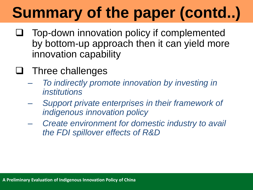- Top-down innovation policy if complemented by bottom-up approach then it can yield more innovation capability
- $\Box$  Three challenges
	- *To indirectly promote innovation by investing in institutions*
	- *Support private enterprises in their framework of indigenous innovation policy*
	- *Create environment for domestic industry to avail the FDI spillover effects of R&D*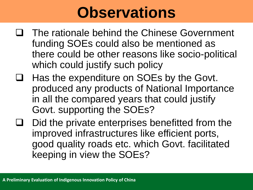#### **Observations**

- The rationale behind the Chinese Government funding SOEs could also be mentioned as there could be other reasons like socio-political which could justify such policy
- Has the expenditure on SOEs by the Govt. produced any products of National Importance in all the compared years that could justify Govt. supporting the SOEs?
- Did the private enterprises benefitted from the improved infrastructures like efficient ports, good quality roads etc. which Govt. facilitated keeping in view the SOEs?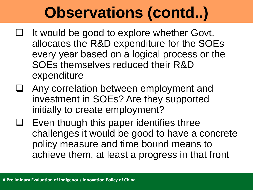### **Observations (contd..)**

- $\Box$  It would be good to explore whether Govt. allocates the R&D expenditure for the SOEs every year based on a logical process or the SOEs themselves reduced their R&D expenditure
- Any correlation between employment and investment in SOEs? Are they supported initially to create employment?
- Even though this paper identifies three challenges it would be good to have a concrete policy measure and time bound means to achieve them, at least a progress in that front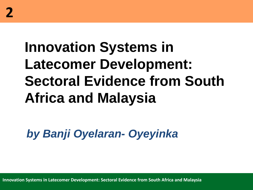### **Innovation Systems in Latecomer Development: Sectoral Evidence from South Africa and Malaysia**

*by Banji Oyelaran- Oyeyinka* 

**Innovation Systems in Latecomer Development: Sectoral Evidence from South Africa and Malaysia**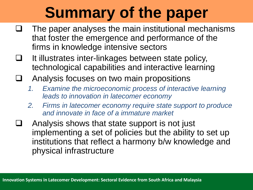### **Summary of the paper**

- The paper analyses the main institutional mechanisms that foster the emergence and performance of the firms in knowledge intensive sectors
- $\Box$  It illustrates inter-linkages between state policy, technological capabilities and interactive learning
- Analysis focuses on two main propositions
	- *1. Examine the microeconomic process of interactive learning leads to innovation in latecomer economy*
	- *2. Firms in latecomer economy require state support to produce and innovate in face of a immature market*
- Analysis shows that state support is not just implementing a set of policies but the ability to set up institutions that reflect a harmony b/w knowledge and physical infrastructure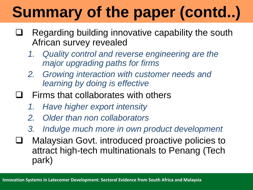- Regarding building innovative capability the south African survey revealed
	- *1. Quality control and reverse engineering are the major upgrading paths for firms*
	- *2. Growing interaction with customer needs and learning by doing is effective*
- $\Box$  Firms that collaborates with others
	- *1. Have higher export intensity*
	- *2. Older than non collaborators*
	- *3. Indulge much more in own product development*
- **□** Malaysian Govt. introduced proactive policies to attract high-tech multinationals to Penang (Tech park)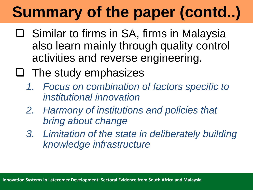- □ Similar to firms in SA, firms in Malaysia also learn mainly through quality control activities and reverse engineering.
- $\Box$  The study emphasizes
	- *1. Focus on combination of factors specific to institutional innovation*
	- *2. Harmony of institutions and policies that bring about change*
	- *3. Limitation of the state in deliberately building knowledge infrastructure*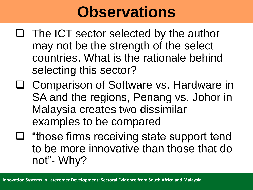#### **Observations**

- $\Box$  The ICT sector selected by the author may not be the strength of the select countries. What is the rationale behind selecting this sector?
- □ Comparison of Software vs. Hardware in SA and the regions, Penang vs. Johor in Malaysia creates two dissimilar examples to be compared
- $\Box$  "those firms receiving state support tend to be more innovative than those that do not"- Why?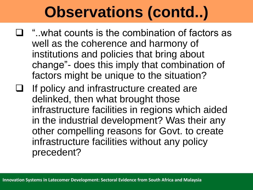#### **Observations (contd..)**

- $\Box$  "..what counts is the combination of factors as well as the coherence and harmony of institutions and policies that bring about change"- does this imply that combination of factors might be unique to the situation?
- If policy and infrastructure created are delinked, then what brought those infrastructure facilities in regions which aided in the industrial development? Was their any other compelling reasons for Govt. to create infrastructure facilities without any policy precedent?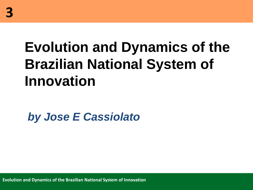#### **Evolution and Dynamics of the Brazilian National System of Innovation**

*by Jose E Cassiolato*

**Evolution and Dynamics of the Brazilian National System of Innovation**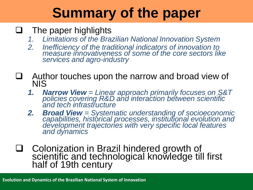#### **Summary of the paper**

#### $\Box$  The paper highlights

- *1. Limitations of the Brazilian National Innovation System*
- *2. Inefficiency of the traditional indicators of innovation to measure innovativeness of some of the core sectors like services and agro-industry*
- Author touches upon the narrow and broad view of **NIS** 
	- *1. Narrow View = Linear approach primarily focuses on S&T policies covering R&D and interaction between scientific and tech infrastructure*
	- *2. Broad View = Systematic understanding of socioeconomic capabilities, historical processes, institutional evolution and development trajectories with very specific local features and dynamics*
- □ Colonization in Brazil hindered growth of scientific and technological knowledge till first half of 19th century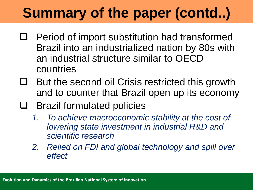- Period of import substitution had transformed Brazil into an industrialized nation by 80s with an industrial structure similar to OECD countries
- $\Box$  But the second oil Crisis restricted this growth and to counter that Brazil open up its economy
- $\Box$  Brazil formulated policies
	- *1. To achieve macroeconomic stability at the cost of lowering state investment in industrial R&D and scientific research*
	- *2. Relied on FDI and global technology and spill over effect*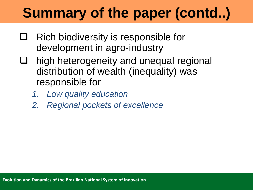- $\Box$  Rich biodiversity is responsible for development in agro-industry
- high heterogeneity and unequal regional distribution of wealth (inequality) was responsible for
	- *1. Low quality education*
	- *2. Regional pockets of excellence*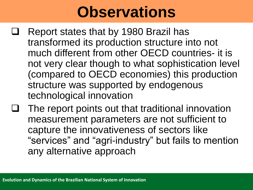#### **Observations**

- Report states that by 1980 Brazil has transformed its production structure into not much different from other OECD countries- it is not very clear though to what sophistication level (compared to OECD economies) this production structure was supported by endogenous technological innovation
- The report points out that traditional innovation measurement parameters are not sufficient to capture the innovativeness of sectors like "services" and "agri-industry" but fails to mention any alternative approach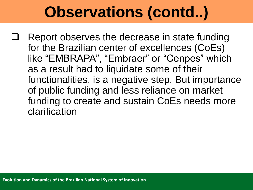#### **Observations (contd..)**

 Report observes the decrease in state funding for the Brazilian center of excellences (CoEs) like "EMBRAPA", "Embraer" or "Cenpes" which as a result had to liquidate some of their functionalities, is a negative step. But importance of public funding and less reliance on market funding to create and sustain CoEs needs more clarification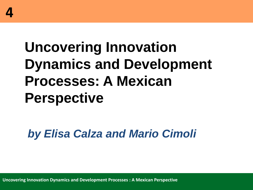#### **Uncovering Innovation Dynamics and Development Processes: A Mexican Perspective**

*by Elisa Calza and Mario Cimoli* 

**Uncovering Innovation Dynamics and Development Processes : A Mexican Perspective**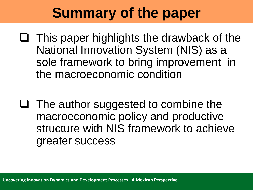#### **Summary of the paper**

- $\Box$  This paper highlights the drawback of the National Innovation System (NIS) as a sole framework to bring improvement in the macroeconomic condition
- $\Box$  The author suggested to combine the macroeconomic policy and productive structure with NIS framework to achieve greater success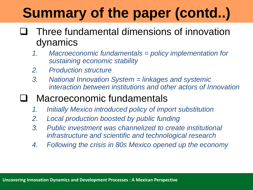- Three fundamental dimensions of innovation dynamics
	- *1. Macroeconomic fundamentals = policy implementation for sustaining economic stability*
	- *2. Production structure*
	- *3. National Innovation System = linkages and systemic interaction between institutions and other actors of Innovation*
- Macroeconomic fundamentals
	- *1. Initially Mexico introduced policy of import substitution*
	- *2. Local production boosted by public funding*
	- *3. Public investment was channelized to create institutional infrastructure and scientific and technological research*
	- *4. Following the crisis in 80s Mexico opened up the economy*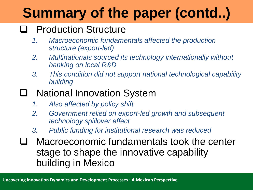#### **Q** Production Structure

- *1. Macroeconomic fundamentals affected the production structure (export-led)*
- *2. Multinationals sourced its technology internationally without banking on local R&D*
- *3. This condition did not support national technological capability building*

#### □ National Innovation System

- *1. Also affected by policy shift*
- *2. Government relied on export-led growth and subsequent technology spillover effect*
- *3. Public funding for institutional research was reduced*
- **T** Macroeconomic fundamentals took the center stage to shape the innovative capability building in Mexico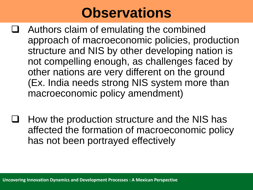#### **Observations**

- Authors claim of emulating the combined approach of macroeconomic policies, production structure and NIS by other developing nation is not compelling enough, as challenges faced by other nations are very different on the ground (Ex. India needs strong NIS system more than macroeconomic policy amendment)
- How the production structure and the NIS has affected the formation of macroeconomic policy has not been portrayed effectively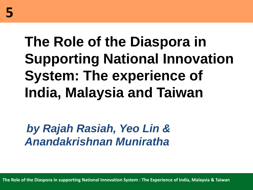### **The Role of the Diaspora in Supporting National Innovation System: The experience of India, Malaysia and Taiwan**

*by Rajah Rasiah, Yeo Lin & Anandakrishnan Muniratha*

**The Role of the Diaspora in supporting National Innovation System : The Experience of India, Malaysia & Taiwan**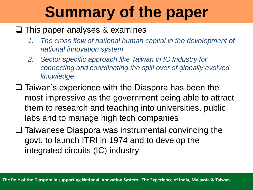### **Summary of the paper**

#### $\Box$  This paper analyses & examines

- *1. The cross flow of national human capital in the development of national innovation system*
- *2. Sector specific approach like Taiwan in IC Industry for connecting and coordinating the spill over of globally evolved knowledge*
- $\Box$  Taiwan's experience with the Diaspora has been the most impressive as the government being able to attract them to research and teaching into universities, public labs and to manage high tech companies
- $\square$  Taiwanese Diaspora was instrumental convincing the govt. to launch ITRI in 1974 and to develop the integrated circuits (IC) industry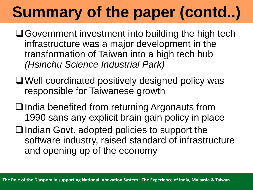- Government investment into building the high tech infrastructure was a major development in the transformation of Taiwan into a high tech hub *(Hsinchu Science Industrial Park)*
- Well coordinated positively designed policy was responsible for Taiwanese growth
- $\Box$  India benefited from returning Argonauts from 1990 sans any explicit brain gain policy in place
- $\Box$  Indian Govt. adopted policies to support the software industry, raised standard of infrastructure and opening up of the economy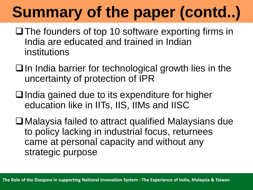- $\Box$  The founders of top 10 software exporting firms in India are educated and trained in Indian institutions
- $\Box$  In India barrier for technological growth lies in the uncertainty of protection of IPR
- $\Box$  India gained due to its expenditure for higher education like in IITs, IIS, IIMs and IISC
- Malaysia failed to attract qualified Malaysians due to policy lacking in industrial focus, returnees came at personal capacity and without any strategic purpose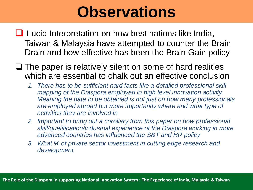#### **Observations**

- Lucid Interpretation on how best nations like India, Taiwan & Malaysia have attempted to counter the Brain Drain and how effective has been the Brain Gain policy
- $\Box$  The paper is relatively silent on some of hard realities which are essential to chalk out an effective conclusion
	- *1. There has to be sufficient hard facts like a detailed professional skill mapping of the Diaspora employed in high level innovation activity. Meaning the data to be obtained is not just on how many professionals are employed abroad but more importantly where and what type of activities they are involved in*
	- **2.** *Important to bring out a corollary from this paper on how professional skill/qualification/industrial experience of the Diaspora working in more advanced countries has influenced the S&T and HR policy*
	- *3. What % of private sector investment in cutting edge research and development*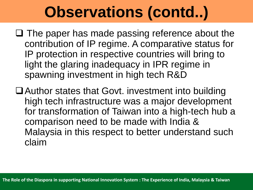### **Observations (contd..)**

- $\Box$  The paper has made passing reference about the contribution of IP regime. A comparative status for IP protection in respective countries will bring to light the glaring inadequacy in IPR regime in spawning investment in high tech R&D
- Author states that Govt. investment into building high tech infrastructure was a major development for transformation of Taiwan into a high-tech hub a comparison need to be made with India & Malaysia in this respect to better understand such claim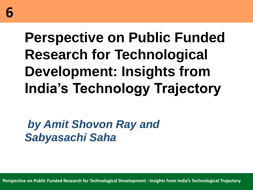### **Perspective on Public Funded Research for Technological Development: Insights from India's Technology Trajectory**

#### *by Amit Shovon Ray and Sabyasachi Saha*

**Perspective on Public Funded Research for Technological Development : Insights from India's Technological Trajectory**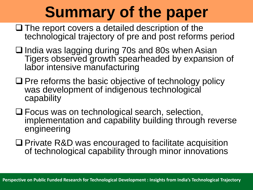### **Summary of the paper**

- $\Box$  The report covers a detailed description of the technological trajectory of pre and post reforms period
- $\Box$  India was lagging during 70s and 80s when Asian Tigers observed growth spearheaded by expansion of labor intensive manufacturing
- $\Box$  Pre reforms the basic objective of technology policy was development of indigenous technological capability
- Focus was on technological search, selection, implementation and capability building through reverse engineering
- □ Private R&D was encouraged to facilitate acquisition of technological capability through minor innovations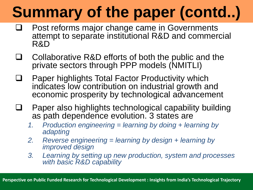- Post reforms major change came in Governments attempt to separate institutional R&D and commercial R&D
- $\Box$  Collaborative R&D efforts of both the public and the private sectors through PPP models (NMITLI)
- □ Paper highlights Total Factor Productivity which indicates low contribution on industrial growth and economic prosperity by technological advancement
- Paper also highlights technological capability building as path dependence evolution. 3 states are
	- *1. Production engineering = learning by doing + learning by adapting*
	- *2. Reverse engineering = learning by design + learning by improved design*
	- *3. Learning by setting up new production, system and processes with basic R&D capability*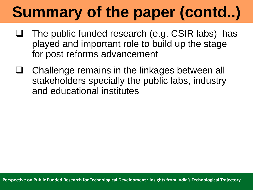- The public funded research (e.g. CSIR labs) has played and important role to build up the stage for post reforms advancement
- Challenge remains in the linkages between all stakeholders specially the public labs, industry and educational institutes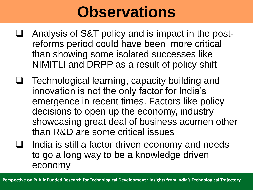#### **Observations**

- Analysis of S&T policy and is impact in the postreforms period could have been more critical than showing some isolated successes like NIMITLI and DRPP as a result of policy shift
- $\Box$  Technological learning, capacity building and innovation is not the only factor for India's emergence in recent times. Factors like policy decisions to open up the economy, industry showcasing great deal of business acumen other than R&D are some critical issues
- India is still a factor driven economy and needs to go a long way to be a knowledge driven economy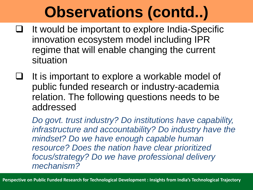### **Observations (contd..)**

- $\Box$  It would be important to explore India-Specific innovation ecosystem model including IPR regime that will enable changing the current situation
- It is important to explore a workable model of public funded research or industry-academia relation. The following questions needs to be addressed

*Do govt. trust industry? Do institutions have capability, infrastructure and accountability? Do industry have the mindset? Do we have enough capable human resource? Does the nation have clear prioritized focus/strategy? Do we have professional delivery mechanism?*